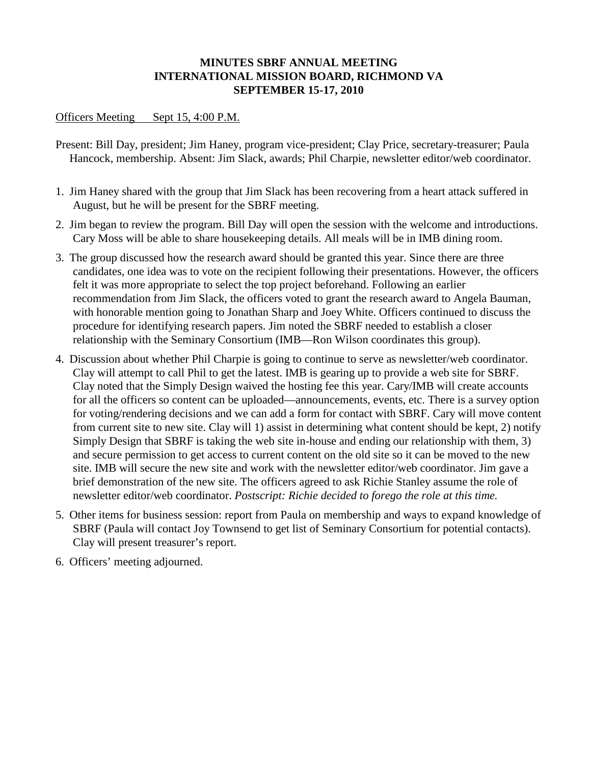## **MINUTES SBRF ANNUAL MEETING INTERNATIONAL MISSION BOARD, RICHMOND VA SEPTEMBER 15-17, 2010**

## Officers Meeting Sept 15, 4:00 P.M.

- Present: Bill Day, president; Jim Haney, program vice-president; Clay Price, secretary-treasurer; Paula Hancock, membership. Absent: Jim Slack, awards; Phil Charpie, newsletter editor/web coordinator.
- 1. Jim Haney shared with the group that Jim Slack has been recovering from a heart attack suffered in August, but he will be present for the SBRF meeting.
- 2. Jim began to review the program. Bill Day will open the session with the welcome and introductions. Cary Moss will be able to share housekeeping details. All meals will be in IMB dining room.
- 3. The group discussed how the research award should be granted this year. Since there are three candidates, one idea was to vote on the recipient following their presentations. However, the officers felt it was more appropriate to select the top project beforehand. Following an earlier recommendation from Jim Slack, the officers voted to grant the research award to Angela Bauman, with honorable mention going to Jonathan Sharp and Joey White. Officers continued to discuss the procedure for identifying research papers. Jim noted the SBRF needed to establish a closer relationship with the Seminary Consortium (IMB—Ron Wilson coordinates this group).
- 4. Discussion about whether Phil Charpie is going to continue to serve as newsletter/web coordinator. Clay will attempt to call Phil to get the latest. IMB is gearing up to provide a web site for SBRF. Clay noted that the Simply Design waived the hosting fee this year. Cary/IMB will create accounts for all the officers so content can be uploaded—announcements, events, etc. There is a survey option for voting/rendering decisions and we can add a form for contact with SBRF. Cary will move content from current site to new site. Clay will 1) assist in determining what content should be kept, 2) notify Simply Design that SBRF is taking the web site in-house and ending our relationship with them, 3) and secure permission to get access to current content on the old site so it can be moved to the new site. IMB will secure the new site and work with the newsletter editor/web coordinator. Jim gave a brief demonstration of the new site. The officers agreed to ask Richie Stanley assume the role of newsletter editor/web coordinator. *Postscript: Richie decided to forego the role at this time.*
- 5. Other items for business session: report from Paula on membership and ways to expand knowledge of SBRF (Paula will contact Joy Townsend to get list of Seminary Consortium for potential contacts). Clay will present treasurer's report.
- 6. Officers' meeting adjourned.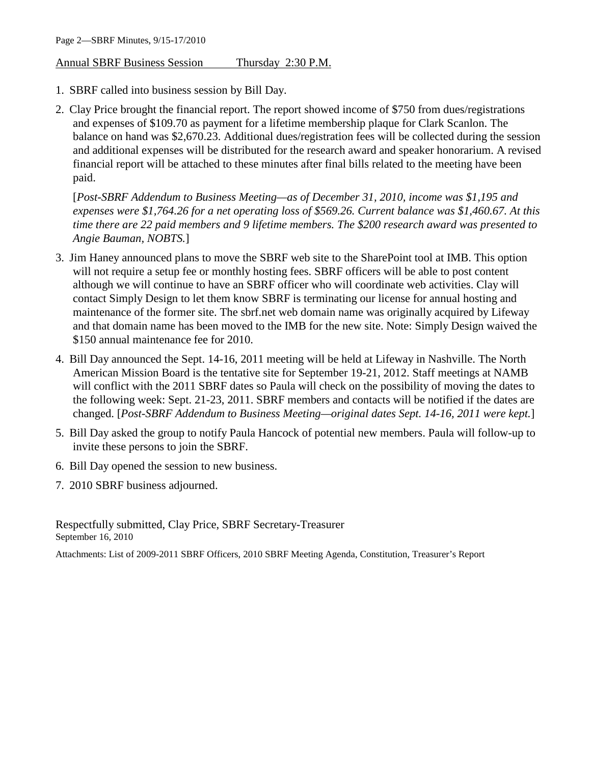Annual SBRF Business Session Thursday 2:30 P.M.

- 1. SBRF called into business session by Bill Day.
- 2. Clay Price brought the financial report. The report showed income of \$750 from dues/registrations and expenses of \$109.70 as payment for a lifetime membership plaque for Clark Scanlon. The balance on hand was \$2,670.23. Additional dues/registration fees will be collected during the session and additional expenses will be distributed for the research award and speaker honorarium. A revised financial report will be attached to these minutes after final bills related to the meeting have been paid.

[*Post-SBRF Addendum to Business Meeting—as of December 31, 2010, income was \$1,195 and expenses were \$1,764.26 for a net operating loss of \$569.26. Current balance was \$1,460.67. At this time there are 22 paid members and 9 lifetime members. The \$200 research award was presented to Angie Bauman, NOBTS.*]

- 3. Jim Haney announced plans to move the SBRF web site to the SharePoint tool at IMB. This option will not require a setup fee or monthly hosting fees. SBRF officers will be able to post content although we will continue to have an SBRF officer who will coordinate web activities. Clay will contact Simply Design to let them know SBRF is terminating our license for annual hosting and maintenance of the former site. The sbrf.net web domain name was originally acquired by Lifeway and that domain name has been moved to the IMB for the new site. Note: Simply Design waived the \$150 annual maintenance fee for 2010.
- 4. Bill Day announced the Sept. 14-16, 2011 meeting will be held at Lifeway in Nashville. The North American Mission Board is the tentative site for September 19-21, 2012. Staff meetings at NAMB will conflict with the 2011 SBRF dates so Paula will check on the possibility of moving the dates to the following week: Sept. 21-23, 2011. SBRF members and contacts will be notified if the dates are changed. [*Post-SBRF Addendum to Business Meeting—original dates Sept. 14-16, 2011 were kept.*]
- 5. Bill Day asked the group to notify Paula Hancock of potential new members. Paula will follow-up to invite these persons to join the SBRF.
- 6. Bill Day opened the session to new business.
- 7. 2010 SBRF business adjourned.

Respectfully submitted, Clay Price, SBRF Secretary-Treasurer September 16, 2010

Attachments: List of 2009-2011 SBRF Officers, 2010 SBRF Meeting Agenda, Constitution, Treasurer's Report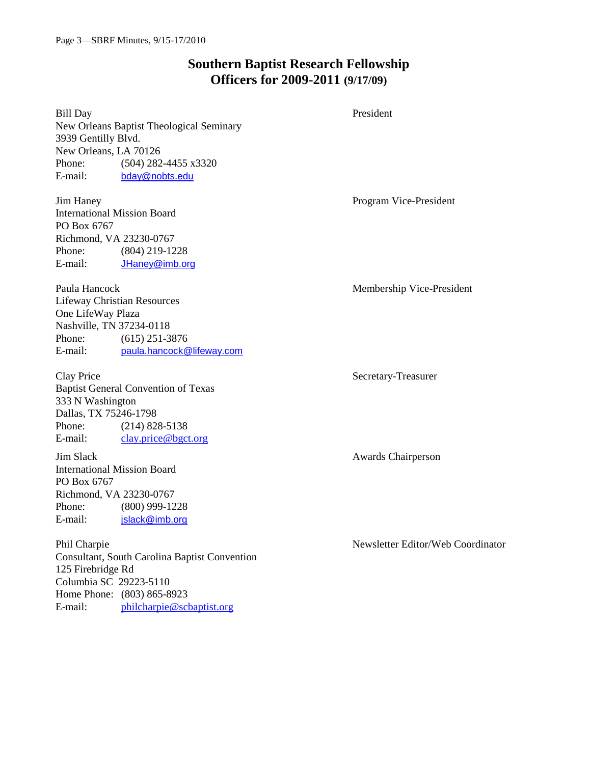Home Phone: (803) 865-8923

E-mail: [philcharpie@scbaptist.org](mailto:philcharpie@scbaptist.org)

# **Southern Baptist Research Fellowship Officers for 2009-2011 (9/17/09)**

| <b>Bill Day</b>     |                                               | President                         |
|---------------------|-----------------------------------------------|-----------------------------------|
|                     | New Orleans Baptist Theological Seminary      |                                   |
| 3939 Gentilly Blvd. |                                               |                                   |
|                     | New Orleans, LA 70126                         |                                   |
| Phone:              | (504) 282-4455 x3320                          |                                   |
| E-mail:             | bday@nobts.edu                                |                                   |
| Jim Haney           |                                               | Program Vice-President            |
|                     | <b>International Mission Board</b>            |                                   |
| PO Box 6767         |                                               |                                   |
|                     | Richmond, VA 23230-0767                       |                                   |
| Phone:              | $(804)$ 219-1228                              |                                   |
| E-mail:             | JHaney@imb.org                                |                                   |
| Paula Hancock       |                                               | Membership Vice-President         |
|                     | <b>Lifeway Christian Resources</b>            |                                   |
| One LifeWay Plaza   |                                               |                                   |
|                     | Nashville, TN 37234-0118                      |                                   |
| Phone:              | $(615)$ 251-3876                              |                                   |
| E-mail:             | paula.hancock@lifeway.com                     |                                   |
| Clay Price          |                                               | Secretary-Treasurer               |
|                     | <b>Baptist General Convention of Texas</b>    |                                   |
| 333 N Washington    |                                               |                                   |
|                     | Dallas, TX 75246-1798                         |                                   |
| Phone:              | $(214)$ 828-5138                              |                                   |
| E-mail:             | clay.price@bgct.org                           |                                   |
| Jim Slack           |                                               | Awards Chairperson                |
|                     | <b>International Mission Board</b>            |                                   |
| PO Box 6767         |                                               |                                   |
|                     | Richmond, VA 23230-0767                       |                                   |
| Phone:              | $(800)$ 999-1228                              |                                   |
| E-mail:             | jslack@imb.org                                |                                   |
| Phil Charpie        |                                               | Newsletter Editor/Web Coordinator |
|                     | Consultant, South Carolina Baptist Convention |                                   |
| 125 Firebridge Rd   |                                               |                                   |
|                     | Columbia SC 29223-5110                        |                                   |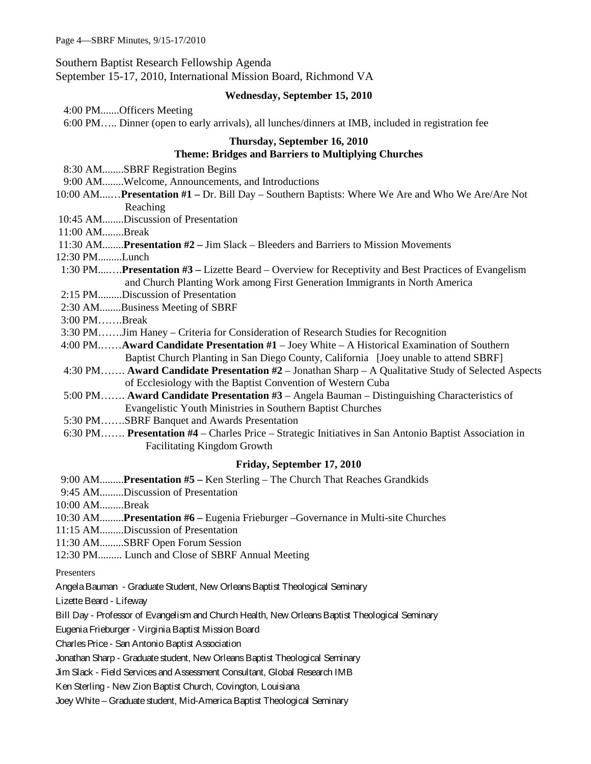Southern Baptist Research Fellowship Agenda

September 15-17, 2010, International Mission Board, Richmond VA

## **Wednesday, September 15, 2010**

4:00 PM.......Officers Meeting

6:00 PM….. Dinner (open to early arrivals), all lunches/dinners at IMB, included in registration fee

## **Thursday, September 16, 2010 Theme: Bridges and Barriers to Multiplying Churches**

- 8:30 AM........SBRF Registration Begins
- 9:00 AM........Welcome, Announcements, and Introductions
- 10:00 AM....…**Presentation #1 –** Dr. Bill Day Southern Baptists: Where We Are and Who We Are/Are Not Reaching

10:45 AM........Discussion of Presentation

11:00 AM........Break

11:30 AM........**Presentation #2 –** Jim Slack – Bleeders and Barriers to Mission Movements

- 12:30 PM.........Lunch
- 1:30 PM....….**Presentation #3 –** Lizette Beard Overview for Receptivity and Best Practices of Evangelism and Church Planting Work among First Generation Immigrants in North America
- 2:15 PM.........Discussion of Presentation
- 2:30 AM........Business Meeting of SBRF
- 3:00 PM…….Break
- 3:30 PM…….Jim Haney Criteria for Consideration of Research Studies for Recognition
- 4:00 PM.……**Award Candidate Presentation #1** Joey White A Historical Examination of Southern Baptist Church Planting in San Diego County, California [Joey unable to attend SBRF]
- 4:30 PM……. **Award Candidate Presentation #2** Jonathan Sharp A Qualitative Study of Selected Aspects of Ecclesiology with the Baptist Convention of Western Cuba
- 5:00 PM……. **Award Candidate Presentation #3** Angela Bauman Distinguishing Characteristics of Evangelistic Youth Ministries in Southern Baptist Churches
- 5:30 PM…….SBRF Banquet and Awards Presentation
- 6:30 PM……. **Presentation #4** Charles Price Strategic Initiatives in San Antonio Baptist Association in Facilitating Kingdom Growth

## **Friday, September 17, 2010**

- 9:00 AM.........**Presentation #5 –** Ken Sterling The Church That Reaches Grandkids
- 9:45 AM.........Discussion of Presentation
- 10:00 AM.........Break
- 10:30 AM.........**Presentation #6 –** Eugenia Frieburger –Governance in Multi-site Churches
- 11:15 AM.........Discussion of Presentation
- 11:30 AM.........SBRF Open Forum Session
- 12:30 PM......... Lunch and Close of SBRF Annual Meeting
- Presenters
- Angela Bauman Graduate Student, New Orleans Baptist Theological Seminary
- Lizette Beard Lifeway
- Bill Day Professor of Evangelism and Church Health, New Orleans Baptist Theological Seminary
- Eugenia Frieburger Virginia Baptist Mission Board
- CharlesPrice San Antonio Baptist Association
- Jonathan Sharp Graduate student, New Orleans Baptist Theological Seminary
- Jim Slack Field Services and Assessment Consultant, Global Research IMB
- Ken Sterling New Zion Baptist Church, Covington, Louisiana
- Joey White Graduate student, Mid-America Baptist Theological Seminary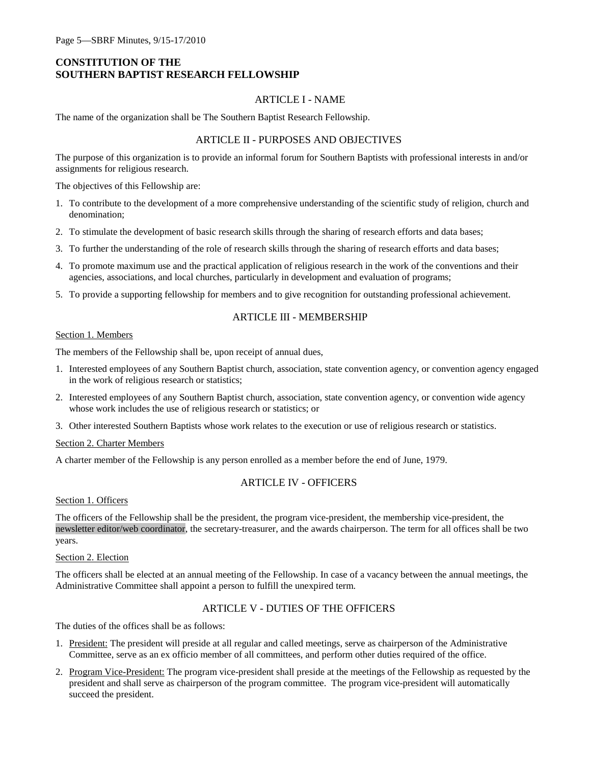## **CONSTITUTION OF THE SOUTHERN BAPTIST RESEARCH FELLOWSHIP**

#### ARTICLE I - NAME

The name of the organization shall be The Southern Baptist Research Fellowship.

#### ARTICLE II - PURPOSES AND OBJECTIVES

The purpose of this organization is to provide an informal forum for Southern Baptists with professional interests in and/or assignments for religious research.

The objectives of this Fellowship are:

- 1. To contribute to the development of a more comprehensive understanding of the scientific study of religion, church and denomination;
- 2. To stimulate the development of basic research skills through the sharing of research efforts and data bases;
- 3. To further the understanding of the role of research skills through the sharing of research efforts and data bases;
- 4. To promote maximum use and the practical application of religious research in the work of the conventions and their agencies, associations, and local churches, particularly in development and evaluation of programs;
- 5. To provide a supporting fellowship for members and to give recognition for outstanding professional achievement.

## ARTICLE III - MEMBERSHIP

#### Section 1. Members

The members of the Fellowship shall be, upon receipt of annual dues,

- 1. Interested employees of any Southern Baptist church, association, state convention agency, or convention agency engaged in the work of religious research or statistics;
- 2. Interested employees of any Southern Baptist church, association, state convention agency, or convention wide agency whose work includes the use of religious research or statistics; or
- 3. Other interested Southern Baptists whose work relates to the execution or use of religious research or statistics.

#### Section 2. Charter Members

A charter member of the Fellowship is any person enrolled as a member before the end of June, 1979.

## ARTICLE IV - OFFICERS

#### Section 1. Officers

The officers of the Fellowship shall be the president, the program vice-president, the membership vice-president, the newsletter editor/web coordinator, the secretary-treasurer, and the awards chairperson. The term for all offices shall be two years.

#### Section 2. Election

The officers shall be elected at an annual meeting of the Fellowship. In case of a vacancy between the annual meetings, the Administrative Committee shall appoint a person to fulfill the unexpired term.

## ARTICLE V - DUTIES OF THE OFFICERS

The duties of the offices shall be as follows:

- 1. President: The president will preside at all regular and called meetings, serve as chairperson of the Administrative Committee, serve as an ex officio member of all committees, and perform other duties required of the office.
- 2. Program Vice-President: The program vice-president shall preside at the meetings of the Fellowship as requested by the president and shall serve as chairperson of the program committee. The program vice-president will automatically succeed the president.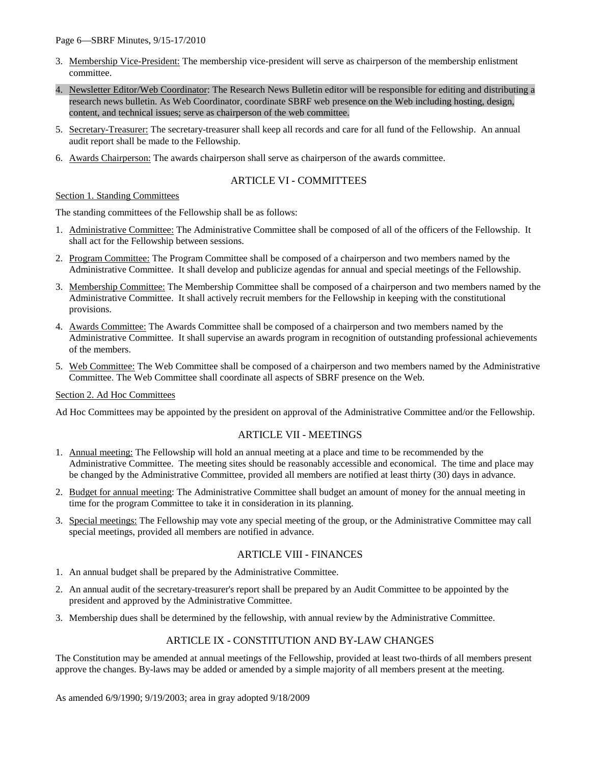#### Page 6—SBRF Minutes, 9/15-17/2010

- 3. Membership Vice-President: The membership vice-president will serve as chairperson of the membership enlistment committee.
- 4. Newsletter Editor/Web Coordinator: The Research News Bulletin editor will be responsible for editing and distributing a research news bulletin. As Web Coordinator, coordinate SBRF web presence on the Web including hosting, design, content, and technical issues; serve as chairperson of the web committee.
- 5. Secretary-Treasurer: The secretary-treasurer shall keep all records and care for all fund of the Fellowship. An annual audit report shall be made to the Fellowship.
- 6. Awards Chairperson: The awards chairperson shall serve as chairperson of the awards committee.

## ARTICLE VI - COMMITTEES

#### Section 1. Standing Committees

The standing committees of the Fellowship shall be as follows:

- 1. Administrative Committee: The Administrative Committee shall be composed of all of the officers of the Fellowship. It shall act for the Fellowship between sessions.
- 2. Program Committee: The Program Committee shall be composed of a chairperson and two members named by the Administrative Committee. It shall develop and publicize agendas for annual and special meetings of the Fellowship.
- 3. Membership Committee: The Membership Committee shall be composed of a chairperson and two members named by the Administrative Committee. It shall actively recruit members for the Fellowship in keeping with the constitutional provisions.
- 4. Awards Committee: The Awards Committee shall be composed of a chairperson and two members named by the Administrative Committee. It shall supervise an awards program in recognition of outstanding professional achievements of the members.
- 5. Web Committee: The Web Committee shall be composed of a chairperson and two members named by the Administrative Committee. The Web Committee shall coordinate all aspects of SBRF presence on the Web.

#### Section 2. Ad Hoc Committees

Ad Hoc Committees may be appointed by the president on approval of the Administrative Committee and/or the Fellowship.

## ARTICLE VII - MEETINGS

- 1. Annual meeting: The Fellowship will hold an annual meeting at a place and time to be recommended by the Administrative Committee. The meeting sites should be reasonably accessible and economical. The time and place may be changed by the Administrative Committee, provided all members are notified at least thirty (30) days in advance.
- 2. Budget for annual meeting: The Administrative Committee shall budget an amount of money for the annual meeting in time for the program Committee to take it in consideration in its planning.
- 3. Special meetings: The Fellowship may vote any special meeting of the group, or the Administrative Committee may call special meetings, provided all members are notified in advance.

### ARTICLE VIII - FINANCES

- 1. An annual budget shall be prepared by the Administrative Committee.
- 2. An annual audit of the secretary-treasurer's report shall be prepared by an Audit Committee to be appointed by the president and approved by the Administrative Committee.
- 3. Membership dues shall be determined by the fellowship, with annual review by the Administrative Committee.

## ARTICLE IX - CONSTITUTION AND BY-LAW CHANGES

The Constitution may be amended at annual meetings of the Fellowship, provided at least two-thirds of all members present approve the changes. By-laws may be added or amended by a simple majority of all members present at the meeting.

As amended 6/9/1990; 9/19/2003; area in gray adopted 9/18/2009